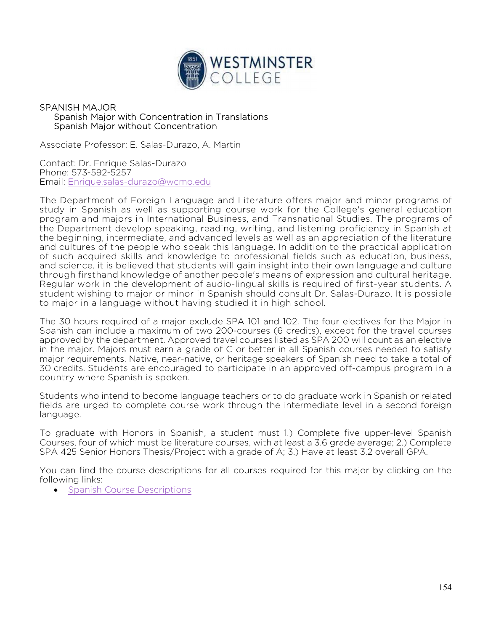

## SPANISH MAJOR Spanish Major with Concentration in Translations Spanish Major without Concentration

Associate Professor: E. Salas-Durazo, A. Martin

Contact: Dr. Enrique Salas-Durazo Phone: 573-592-5257 Email: Enrique.salas-durazo@wcmo.edu

The Department of Foreign Language and Literature offers major and minor programs of study in Spanish as well as supporting course work for the College's general education program and majors in International Business, and Transnational Studies. The programs of the Department develop speaking, reading, writing, and listening proficiency in Spanish at the beginning, intermediate, and advanced levels as well as an appreciation of the literature and cultures of the people who speak this language. In addition to the practical application of such acquired skills and knowledge to professional fields such as education, business, and science, it is believed that students will gain insight into their own language and culture through firsthand knowledge of another people's means of expression and cultural heritage. Regular work in the development of audio-lingual skills is required of first-year students. A student wishing to major or minor in Spanish should consult Dr. Salas-Durazo. It is possible to major in a language without having studied it in high school.

The 30 hours required of a major exclude SPA 101 and 102. The four electives for the Major in Spanish can include a maximum of two 200-courses (6 credits), except for the travel courses approved by the department. Approved travel courses listed as SPA 200 will count as an elective in the major. Majors must earn a grade of C or better in all Spanish courses needed to satisfy major requirements. Native, near-native, or heritage speakers of Spanish need to take a total of 30 credits. Students are encouraged to participate in an approved off-campus program in a country where Spanish is spoken.

Students who intend to become language teachers or to do graduate work in Spanish or related fields are urged to complete course work through the intermediate level in a second foreign language.

To graduate with Honors in Spanish, a student must 1.) Complete five upper-level Spanish Courses, four of which must be literature courses, with at least a 3.6 grade average; 2.) Complete SPA 425 Senior Honors Thesis/Project with a grade of A; 3.) Have at least 3.2 overall GPA.

You can find the course descriptions for all courses required for this major by clicking on the following links:

• Spanish Course Descriptions